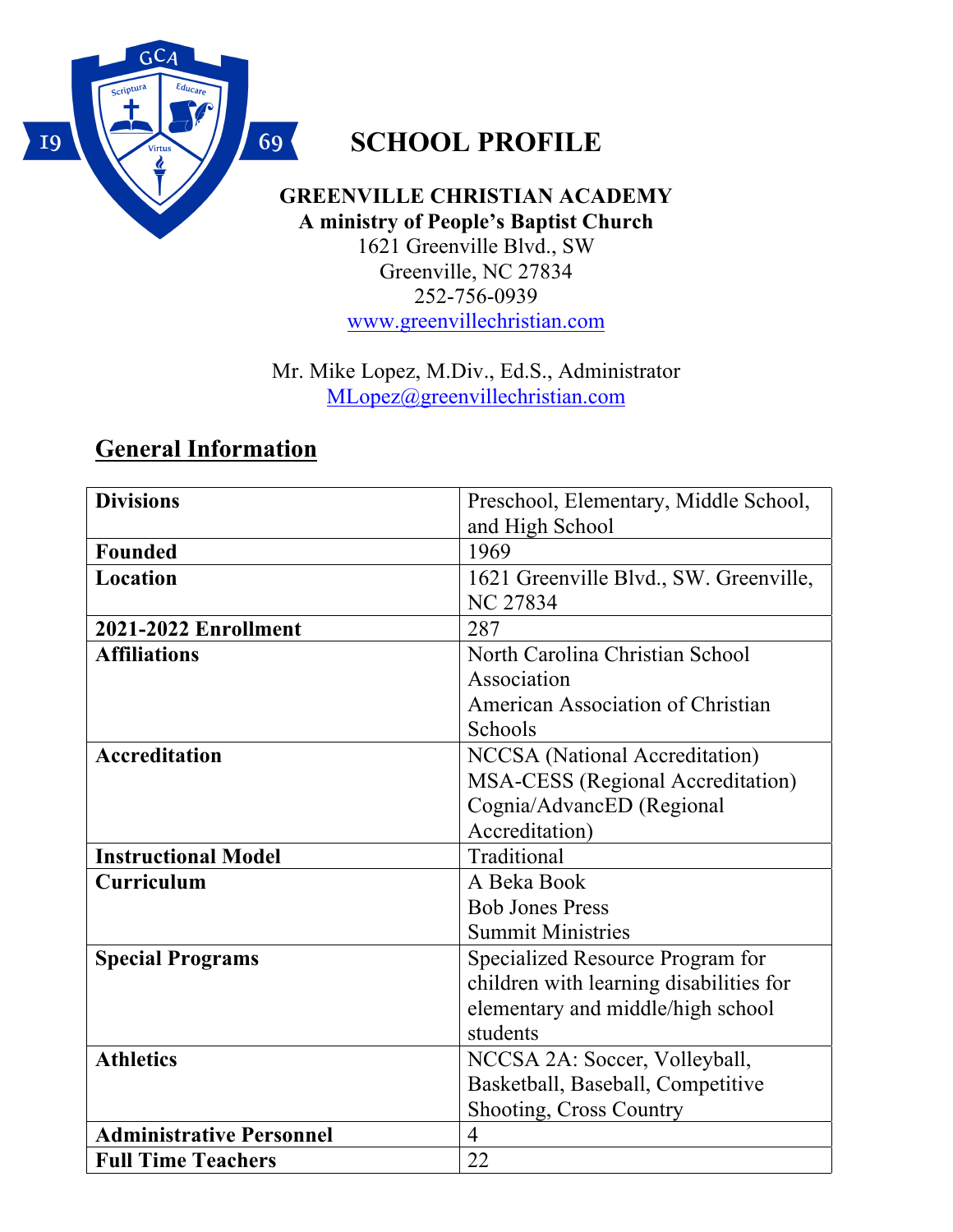

## **SCHOOL PROFILE**

**GREENVILLE CHRISTIAN ACADEMY A ministry of People's Baptist Church**  1621 Greenville Blvd., SW Greenville, NC 27834 252-756-0939 www.greenvillechristian.com

Mr. Mike Lopez, M.Div., Ed.S., Administrator MLopez@greenvillechristian.com

### **General Information**

| <b>Divisions</b>                | Preschool, Elementary, Middle School,    |  |  |
|---------------------------------|------------------------------------------|--|--|
|                                 | and High School                          |  |  |
| <b>Founded</b>                  | 1969                                     |  |  |
| Location                        | 1621 Greenville Blvd., SW. Greenville,   |  |  |
|                                 | <b>NC 27834</b>                          |  |  |
| <b>2021-2022 Enrollment</b>     | 287                                      |  |  |
| <b>Affiliations</b>             | North Carolina Christian School          |  |  |
|                                 | Association                              |  |  |
|                                 | American Association of Christian        |  |  |
|                                 | Schools                                  |  |  |
| <b>Accreditation</b>            | <b>NCCSA</b> (National Accreditation)    |  |  |
|                                 | <b>MSA-CESS</b> (Regional Accreditation) |  |  |
|                                 | Cognia/AdvancED (Regional                |  |  |
|                                 | Accreditation)                           |  |  |
| <b>Instructional Model</b>      | Traditional                              |  |  |
| Curriculum                      | A Beka Book                              |  |  |
|                                 | <b>Bob Jones Press</b>                   |  |  |
|                                 | <b>Summit Ministries</b>                 |  |  |
| <b>Special Programs</b>         | Specialized Resource Program for         |  |  |
|                                 | children with learning disabilities for  |  |  |
|                                 | elementary and middle/high school        |  |  |
|                                 | students                                 |  |  |
| <b>Athletics</b>                | NCCSA 2A: Soccer, Volleyball,            |  |  |
|                                 | Basketball, Baseball, Competitive        |  |  |
|                                 | <b>Shooting, Cross Country</b>           |  |  |
| <b>Administrative Personnel</b> | $\overline{4}$                           |  |  |
| <b>Full Time Teachers</b>       | 22                                       |  |  |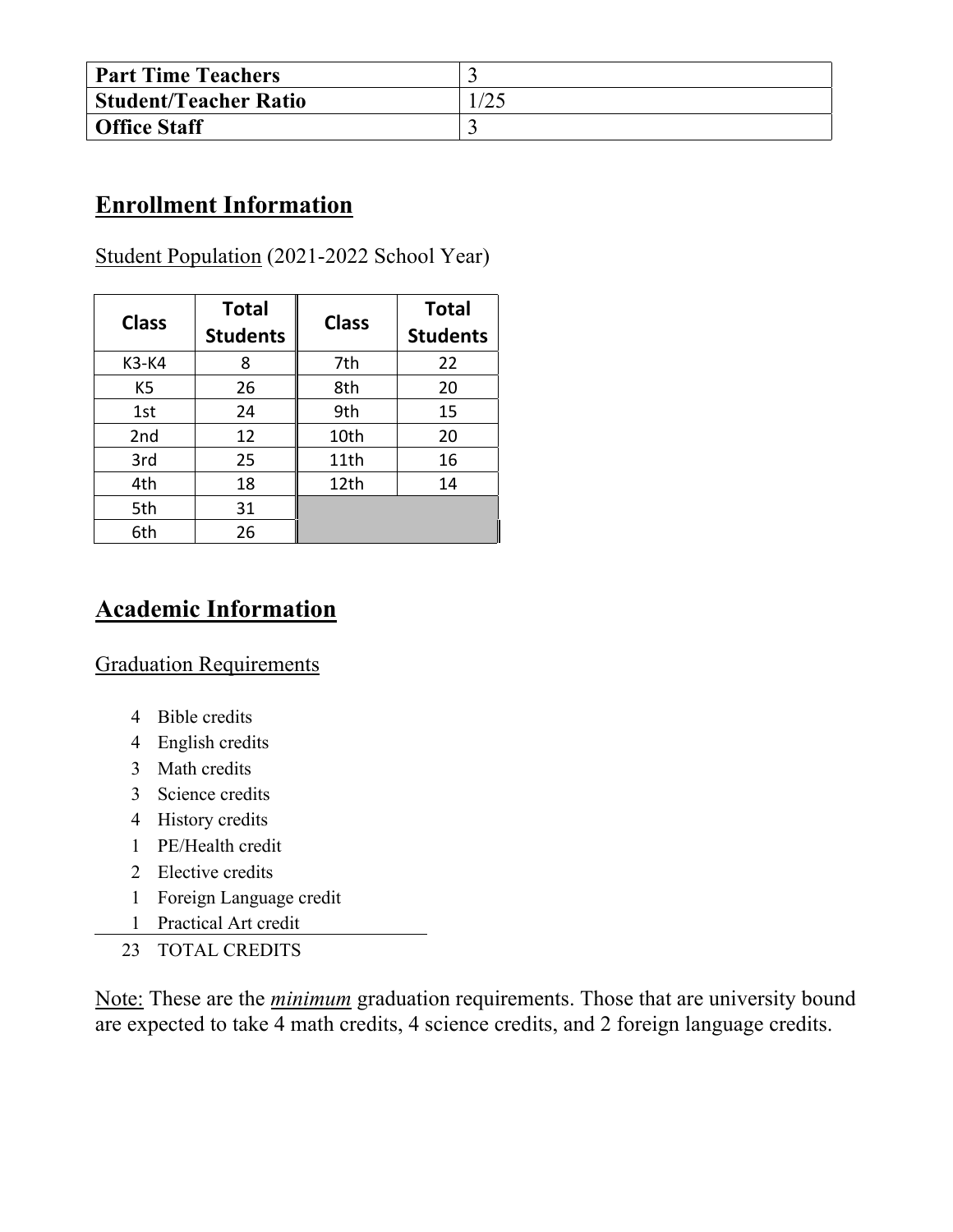| <b>Part Time Teachers</b>    |      |
|------------------------------|------|
| <b>Student/Teacher Ratio</b> | 25/، |
| <b>Office Staff</b>          |      |

### **Enrollment Information**

#### Student Population (2021-2022 School Year)

| <b>Class</b>   | <b>Total</b><br><b>Students</b> | <b>Class</b> | <b>Total</b><br><b>Students</b> |
|----------------|---------------------------------|--------------|---------------------------------|
| K3-K4          | 8                               | 7th          | 22                              |
| K <sub>5</sub> | 26                              | 8th          | 20                              |
| 1st            | 24                              | 9th          | 15                              |
| 2nd            | 12                              | 10th         | 20                              |
| 3rd            | 25                              | 11th         | 16                              |
| 4th            | 18                              | 12th         | 14                              |
| 5th            | 31                              |              |                                 |
| 6th            | 26                              |              |                                 |

### **Academic Information**

Graduation Requirements

- 4 Bible credits
- 4 English credits
- 3 Math credits
- 3 Science credits
- 4 History credits
- 1 PE/Health credit
- 2 Elective credits
- 1 Foreign Language credit
- 1 Practical Art credit
- 23 TOTAL CREDITS

Note: These are the *minimum* graduation requirements. Those that are university bound are expected to take 4 math credits, 4 science credits, and 2 foreign language credits.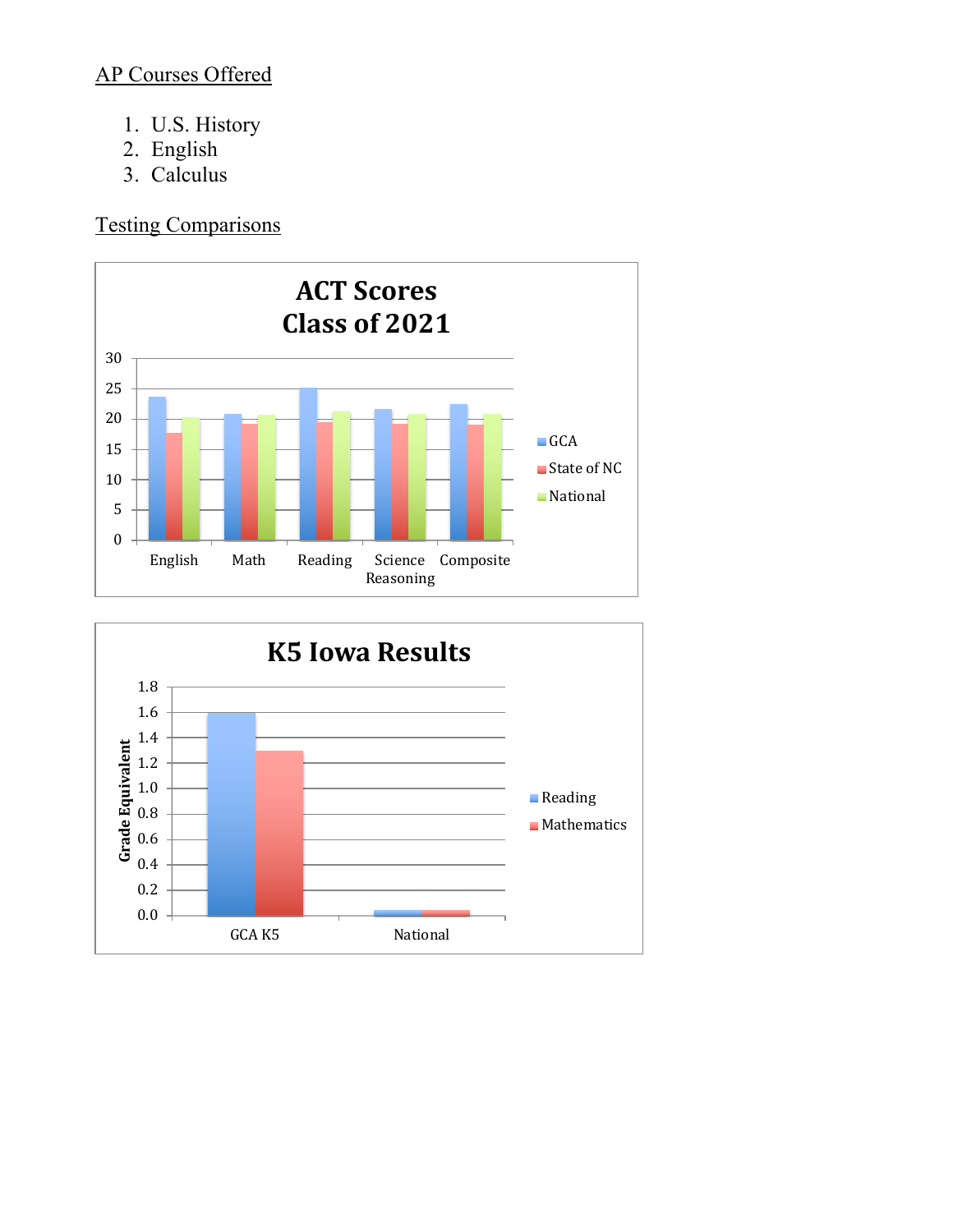#### AP Courses Offered

- 1. U.S. History
- 2. English
- 3. Calculus

Testing Comparisons